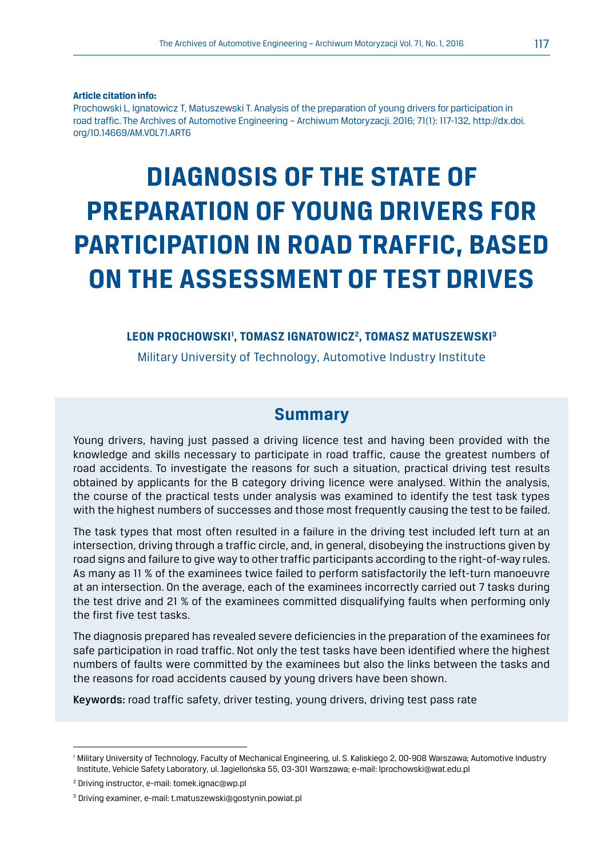#### **Article citation info:**

Prochowski L, Ignatowicz T, Matuszewski T. Analysis of the preparation of young drivers for participation in road traffic. The Archives of Automotive Engineering – Archiwum Motoryzacji. 2016; 71(1): 117-132, http://dx.doi. org/10.14669/AM.VOL71.ART6

# **DIAGNOSIS OF THE STATE OF PREPARATION OF YOUNG DRIVERS FOR PARTICIPATION IN ROAD TRAFFIC, BASED ON THE ASSESSMENT OF TEST DRIVES**

#### LEON PROCHOWSKI<sup>I</sup>, TOMASZ IGNATOWICZ<sup>2</sup>, tomasz matuszewski<sup>3</sup>

Military University of Technology, Automotive Industry Institute

### **Summary**

Young drivers, having just passed a driving licence test and having been provided with the knowledge and skills necessary to participate in road traffic, cause the greatest numbers of road accidents. To investigate the reasons for such a situation, practical driving test results obtained by applicants for the B category driving licence were analysed. Within the analysis, the course of the practical tests under analysis was examined to identify the test task types with the highest numbers of successes and those most frequently causing the test to be failed.

The task types that most often resulted in a failure in the driving test included left turn at an intersection, driving through a traffic circle, and, in general, disobeying the instructions given by road signs and failure to give way to other traffic participants according to the right-of-way rules. As many as 11 % of the examinees twice failed to perform satisfactorily the left-turn manoeuvre at an intersection. On the average, each of the examinees incorrectly carried out 7 tasks during the test drive and 21 % of the examinees committed disqualifying faults when performing only the first five test tasks.

The diagnosis prepared has revealed severe deficiencies in the preparation of the examinees for safe participation in road traffic. Not only the test tasks have been identified where the highest numbers of faults were committed by the examinees but also the links between the tasks and the reasons for road accidents caused by young drivers have been shown.

Keywords: road traffic safety, driver testing, young drivers, driving test pass rate

<sup>1</sup> Military University of Technology, Faculty of Mechanical Engineering, ul. S. Kaliskiego 2, 00-908 Warszawa; Automotive Industry Institute, Vehicle Safety Laboratory, ul. Jagiellońska 55, 03-301 Warszawa; e-mail: lprochowski@wat.edu.pl

<sup>2</sup> Driving instructor, e-mail: tomek.ignac@wp.pl

<sup>3</sup> Driving examiner, e-mail: t.matuszewski@gostynin.powiat.pl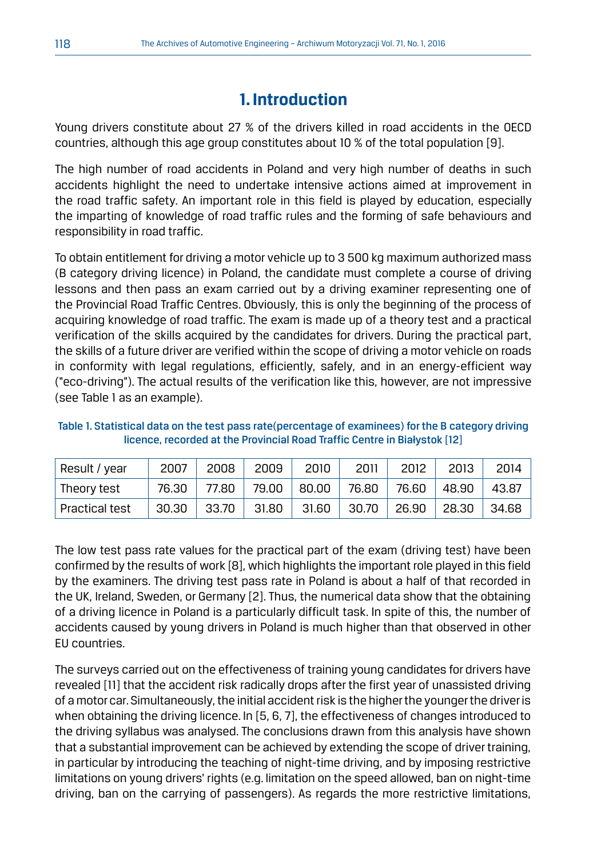# **1. Introduction**

Young drivers constitute about 27 % of the drivers killed in road accidents in the OECD countries, although this age group constitutes about 10 % of the total population [9].

The high number of road accidents in Poland and very high number of deaths in such accidents highlight the need to undertake intensive actions aimed at improvement in the road traffic safety. An important role in this field is played by education, especially the imparting of knowledge of road traffic rules and the forming of safe behaviours and responsibility in road traffic.

To obtain entitlement for driving a motor vehicle up to 3 500 kg maximum authorized mass (B category driving licence) in Poland, the candidate must complete a course of driving lessons and then pass an exam carried out by a driving examiner representing one of the Provincial Road Traffic Centres. Obviously, this is only the beginning of the process of acquiring knowledge of road traffic. The exam is made up of a theory test and a practical verification of the skills acquired by the candidates for drivers. During the practical part, the skills of a future driver are verified within the scope of driving a motor vehicle on roads in conformity with legal regulations, efficiently, safely, and in an energy-efficient way ("eco-driving"). The actual results of the verification like this, however, are not impressive (see Table 1 as an example).

| Table 1. Statistical data on the test pass rate (percentage of examinees) for the B category driving |
|------------------------------------------------------------------------------------------------------|
| licence, recorded at the Provincial Road Traffic Centre in Białystok [12]                            |

| Result / year         | 2007  | 2008  | 2009  | 2010     | 2011  | 2012  | 2013  | 2014    |
|-----------------------|-------|-------|-------|----------|-------|-------|-------|---------|
| Theory test           | 76.30 | 77.80 | 79.00 | $+80.00$ | 76.80 | 76.60 | 48.90 | 43.87   |
| <b>Practical test</b> | 30.30 | 33.70 | 31.80 | 31.60    | 30.70 | 26.90 | 28.30 | . 34.68 |

The low test pass rate values for the practical part of the exam (driving test) have been confirmed by the results of work [8], which highlights the important role played in this field by the examiners. The driving test pass rate in Poland is about a half of that recorded in the UK, Ireland, Sweden, or Germany [2]. Thus, the numerical data show that the obtaining of a driving licence in Poland is a particularly difficult task. In spite of this, the number of accidents caused by young drivers in Poland is much higher than that observed in other EU countries.

The surveys carried out on the effectiveness of training young candidates for drivers have revealed [11] that the accident risk radically drops after the first year of unassisted driving of a motor car. Simultaneously, the initial accident risk is the higher the younger the driver is when obtaining the driving licence. In [5, 6, 7], the effectiveness of changes introduced to the driving syllabus was analysed. The conclusions drawn from this analysis have shown that a substantial improvement can be achieved by extending the scope of driver training, in particular by introducing the teaching of night-time driving, and by imposing restrictive limitations on young drivers' rights (e.g. limitation on the speed allowed, ban on night-time driving, ban on the carrying of passengers). As regards the more restrictive limitations,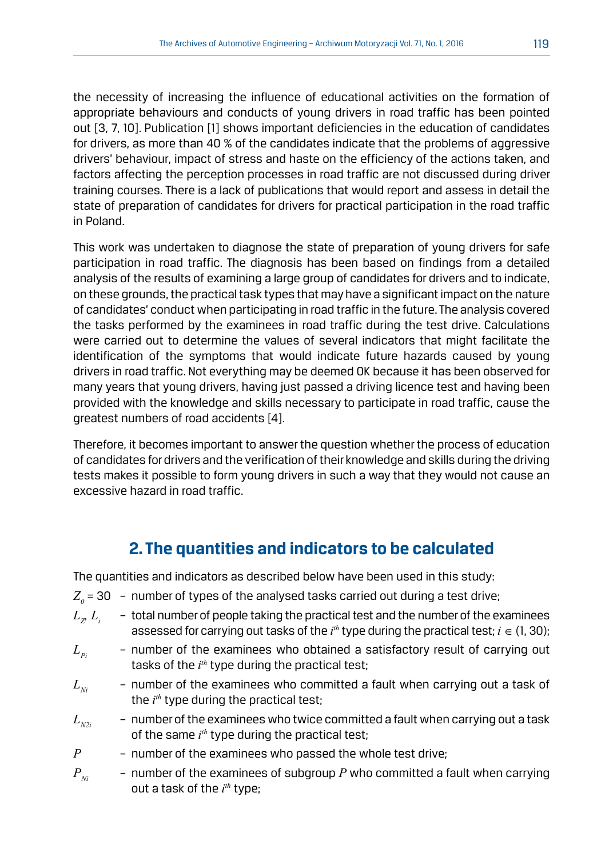the necessity of increasing the influence of educational activities on the formation of appropriate behaviours and conducts of young drivers in road traffic has been pointed out [3, 7, 10]. Publication [1] shows important deficiencies in the education of candidates for drivers, as more than 40 % of the candidates indicate that the problems of aggressive drivers' behaviour, impact of stress and haste on the efficiency of the actions taken, and factors affecting the perception processes in road traffic are not discussed during driver training courses. There is a lack of publications that would report and assess in detail the state of preparation of candidates for drivers for practical participation in the road traffic in Poland.

This work was undertaken to diagnose the state of preparation of young drivers for safe participation in road traffic. The diagnosis has been based on findings from a detailed analysis of the results of examining a large group of candidates for drivers and to indicate, on these grounds, the practical task types that may have a significant impact on the nature of candidates' conduct when participating in road traffic in the future. The analysis covered the tasks performed by the examinees in road traffic during the test drive. Calculations were carried out to determine the values of several indicators that might facilitate the identification of the symptoms that would indicate future hazards caused by young drivers in road traffic. Not everything may be deemed OK because it has been observed for many years that young drivers, having just passed a driving licence test and having been provided with the knowledge and skills necessary to participate in road traffic, cause the greatest numbers of road accidents [4].

Therefore, it becomes important to answer the question whether the process of education of candidates for drivers and the verification of their knowledge and skills during the driving tests makes it possible to form young drivers in such a way that they would not cause an excessive hazard in road traffic.

# **2. The quantities and indicators to be calculated**

The quantities and indicators as described below have been used in this study:

- $Z_{_0}$  = 30  $\,$   $\,$  number of types of the analysed tasks carried out during a test drive;
- $L_{\mathcal{P}} L_{\mathcal{I}}$ - total number of people taking the practical test and the number of the examinees assessed for carrying out tasks of the  $i^{th}$  type during the practical test;  $i \in (1, 30)$ ;
- $L<sub>n</sub>$  number of the examinees who obtained a satisfactory result of carrying out tasks of the *i th* type during the practical test;
- $L_{\text{N}i}$  number of the examinees who committed a fault when carrying out a task of the *i th* type during the practical test;
- $L_{\nu 2i}$  number of the examinees who twice committed a fault when carrying out a task of the same *i th* type during the practical test;
- *P* number of the examinees who passed the whole test drive;
- $P_{N_i}$  number of the examinees of subgroup  $P$  who committed a fault when carrying out a task of the *i*<sup>th</sup> type;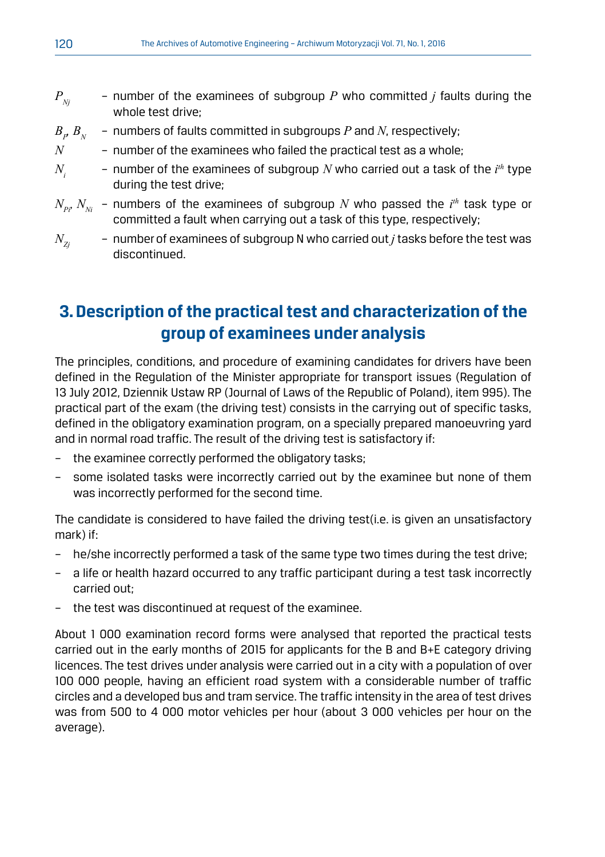- $P_{N_i}$  number of the examinees of subgroup P who committed *j* faults during the whole test drive;
- $B_p B_{N}$ *, BN* – numbers of faults committed in subgroups *P* and *N*, respectively;
- $N$  number of the examinees who failed the practical test as a whole:
- $N_i$  number of the examinees of subgroup  $N$  who carried out a task of the  $i^{th}$  type during the test drive;
- $N_{_{Pl}}$   $N_{_{Ni}}$  numbers of the examinees of subgroup  $N$  who passed the  $i^{\rm \scriptscriptstyle th}$  task type or committed a fault when carrying out a task of this type, respectively;
- $N_{z_i}$  number of examinees of subgroup N who carried out *j* tasks before the test was discontinued.

# **3. Description of the practical test and characterization of the group of examinees under analysis**

The principles, conditions, and procedure of examining candidates for drivers have been defined in the Regulation of the Minister appropriate for transport issues (Regulation of 13 July 2012, Dziennik Ustaw RP (Journal of Laws of the Republic of Poland), item 995). The practical part of the exam (the driving test) consists in the carrying out of specific tasks, defined in the obligatory examination program, on a specially prepared manoeuvring yard and in normal road traffic. The result of the driving test is satisfactory if:

- the examinee correctly performed the obligatory tasks;
- some isolated tasks were incorrectly carried out by the examinee but none of them was incorrectly performed for the second time.

The candidate is considered to have failed the driving test(i.e. is given an unsatisfactory mark) if:

- he/she incorrectly performed a task of the same type two times during the test drive;
- a life or health hazard occurred to any traffic participant during a test task incorrectly carried out;
- the test was discontinued at request of the examinee.

About 1 000 examination record forms were analysed that reported the practical tests carried out in the early months of 2015 for applicants for the B and B+E category driving licences. The test drives under analysis were carried out in a city with a population of over 100 000 people, having an efficient road system with a considerable number of traffic circles and a developed bus and tram service. The traffic intensity in the area of test drives was from 500 to 4 000 motor vehicles per hour (about 3 000 vehicles per hour on the average).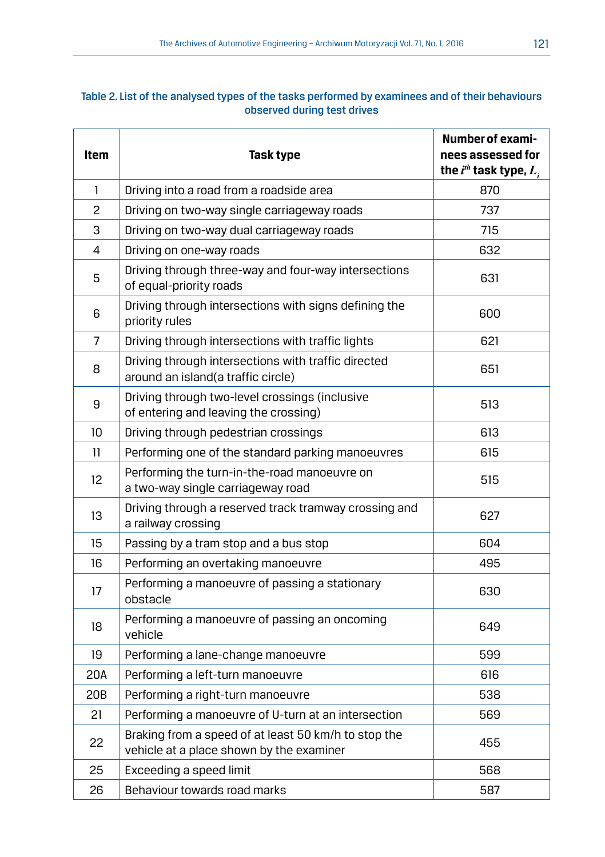#### Table 2. List of the analysed types of the tasks performed by examinees and of their behaviours observed during test drives

| <b>Item</b>       | Task type                                                                                        | <b>Number of exami-</b><br>nees assessed for<br>the $i^{th}$ task type, $L_{1}$ |
|-------------------|--------------------------------------------------------------------------------------------------|---------------------------------------------------------------------------------|
| $\mathbf{1}$      | Driving into a road from a roadside area                                                         | 870                                                                             |
| 2                 | Driving on two-way single carriageway roads                                                      | 737                                                                             |
| 3                 | Driving on two-way dual carriageway roads                                                        | 715                                                                             |
| 4                 | Driving on one-way roads                                                                         | 632                                                                             |
| 5                 | Driving through three-way and four-way intersections<br>of equal-priority roads                  | 631                                                                             |
| 6                 | Driving through intersections with signs defining the<br>priority rules                          | 600                                                                             |
| 7                 | Driving through intersections with traffic lights                                                | 621                                                                             |
| 8                 | Driving through intersections with traffic directed<br>around an island(a traffic circle)        | 651                                                                             |
| 9                 | Driving through two-level crossings (inclusive<br>of entering and leaving the crossing)          | 513                                                                             |
| 10                | Driving through pedestrian crossings                                                             | 613                                                                             |
| 11                | Performing one of the standard parking manoeuvres                                                | 615                                                                             |
| $12 \overline{ }$ | Performing the turn-in-the-road manoeuvre on<br>a two-way single carriageway road                | 515                                                                             |
| 13                | Driving through a reserved track tramway crossing and<br>a railway crossing                      | 627                                                                             |
| 15                | Passing by a tram stop and a bus stop                                                            | 604                                                                             |
| 16                | Performing an overtaking manoeuvre                                                               | 495                                                                             |
| 17                | Performing a manoeuvre of passing a stationary<br>obstacle                                       | 630                                                                             |
| 18                | Performing a manoeuvre of passing an oncoming<br>vehicle                                         | 649                                                                             |
| 19                | Performing a lane-change manoeuvre                                                               | 599                                                                             |
| 20A               | Performing a left-turn manoeuvre                                                                 | 616                                                                             |
| 20B               | Performing a right-turn manoeuvre                                                                | 538                                                                             |
| 21                | Performing a manoeuvre of U-turn at an intersection                                              | 569                                                                             |
| 22                | Braking from a speed of at least 50 km/h to stop the<br>vehicle at a place shown by the examiner | 455                                                                             |
| 25                | Exceeding a speed limit                                                                          | 568                                                                             |
| 26                | Behaviour towards road marks                                                                     | 587                                                                             |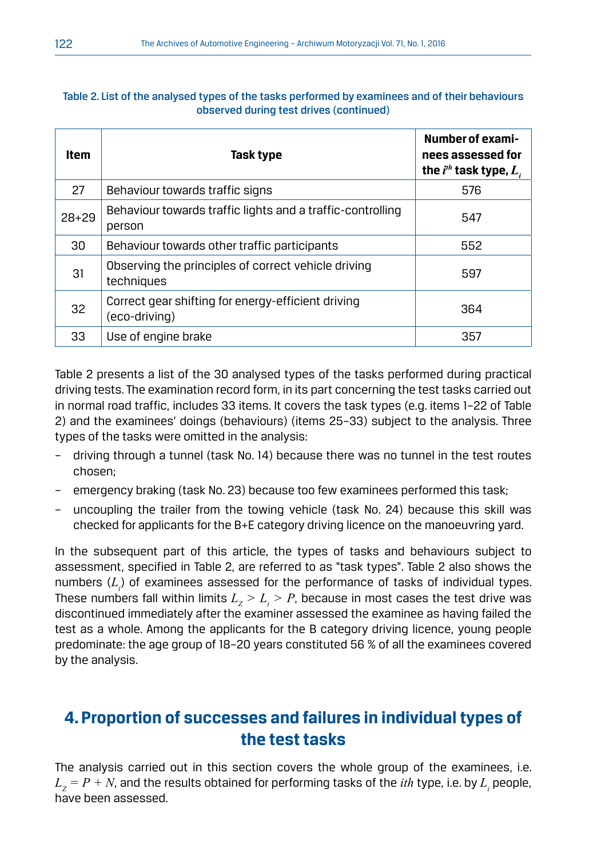| observed during test drives (continued) |                                                                      |                                                                        |  |  |
|-----------------------------------------|----------------------------------------------------------------------|------------------------------------------------------------------------|--|--|
| Item                                    | Task type                                                            | Number of exami-<br>nees assessed for<br>the $i^{th}$ task type, $L_i$ |  |  |
| 27                                      | Behaviour towards traffic signs                                      | 576                                                                    |  |  |
| $28+29$                                 | Behaviour towards traffic lights and a traffic-controlling<br>person | 547                                                                    |  |  |
| 30                                      | Behaviour towards other traffic participants                         | 552                                                                    |  |  |
| 31                                      | Observing the principles of correct vehicle driving<br>techniques    | 597                                                                    |  |  |
| 32                                      | Correct gear shifting for energy-efficient driving<br>(eco-driving)  | 364                                                                    |  |  |
| 33                                      | Use of engine brake                                                  | 357                                                                    |  |  |

#### Table 2. List of the analysed types of the tasks performed by examinees and of their behaviours observed during test drives (continued)

Table 2 presents a list of the 30 analysed types of the tasks performed during practical driving tests. The examination record form, in its part concerning the test tasks carried out in normal road traffic, includes 33 items. It covers the task types (e.g. items 1–22 of Table 2) and the examinees' doings (behaviours) (items 25–33) subject to the analysis. Three types of the tasks were omitted in the analysis:

- driving through a tunnel (task No. 14) because there was no tunnel in the test routes chosen;
- emergency braking (task No. 23) because too few examinees performed this task;
- uncoupling the trailer from the towing vehicle (task No. 24) because this skill was checked for applicants for the B+E category driving licence on the manoeuvring yard.

In the subsequent part of this article, the types of tasks and behaviours subject to assessment, specified in Table 2, are referred to as "task types". Table 2 also shows the numbers  $(L_i)$  of examinees assessed for the performance of tasks of individual types. These numbers fall within limits  $L_{\rm z}$   $>$   $L_{\rm i}$   $>$   $P$ , because in most cases the test drive was discontinued immediately after the examiner assessed the examinee as having failed the test as a whole. Among the applicants for the B category driving licence, young people predominate: the age group of 18–20 years constituted 56 % of all the examinees covered by the analysis.

# **4. Proportion of successes and failures in individual types of the test tasks**

The analysis carried out in this section covers the whole group of the examinees, i.e.  $L_{\rm z}$  =  $P$  +  $N$ , and the results obtained for performing tasks of the *ith* type, i.e. by  $L_{\rm i}$  people, have been assessed.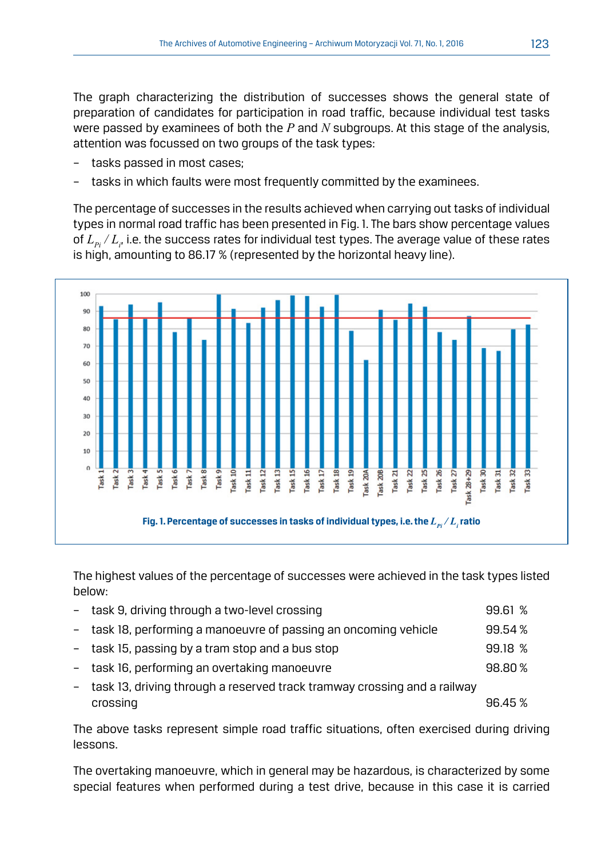The graph characterizing the distribution of successes shows the general state of preparation of candidates for participation in road traffic, because individual test tasks were passed by examinees of both the *P* and *N* subgroups. At this stage of the analysis, attention was focussed on two groups of the task types:

- tasks passed in most cases:
- tasks in which faults were most frequently committed by the examinees.

The percentage of successes in the results achieved when carrying out tasks of individual types in normal road traffic has been presented in Fig. 1. The bars show percentage values of  $L_{p_i}/L_{i'}$  i.e. the success rates for individual test types. The average value of these rates is high, amounting to 86.17 % (represented by the horizontal heavy line).



The highest values of the percentage of successes were achieved in the task types listed below:

| - task 9, driving through a two-level crossing                             | 99.61 % |
|----------------------------------------------------------------------------|---------|
| - task 18, performing a manoeuvre of passing an oncoming vehicle           | 99.54%  |
| - task 15, passing by a tram stop and a bus stop                           | 99.18%  |
| - task 16, performing an overtaking manoeuvre                              | 98.80%  |
| - task 13, driving through a reserved track tramway crossing and a railway |         |
| crossing                                                                   | 96.45 % |

The above tasks represent simple road traffic situations, often exercised during driving lessons.

The overtaking manoeuvre, which in general may be hazardous, is characterized by some special features when performed during a test drive, because in this case it is carried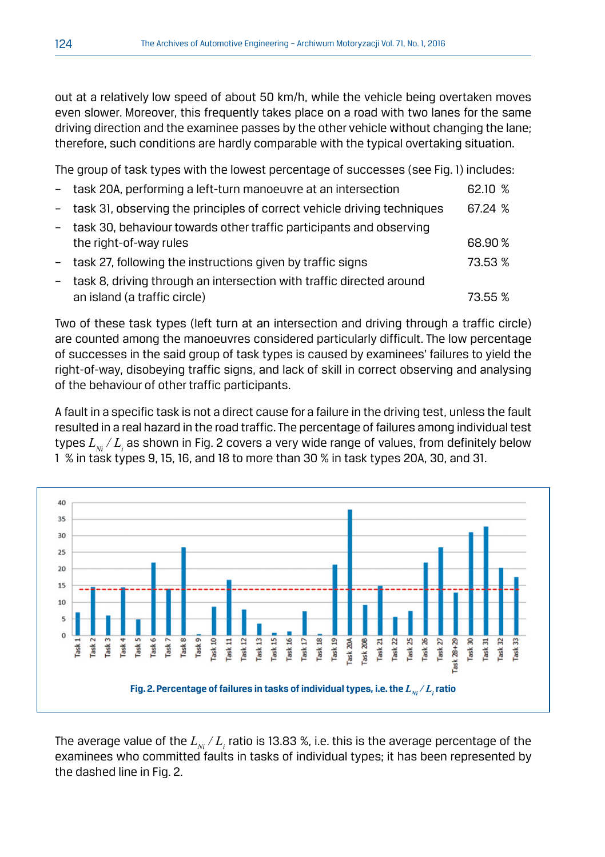out at a relatively low speed of about 50 km/h, while the vehicle being overtaken moves even slower. Moreover, this frequently takes place on a road with two lanes for the same driving direction and the examinee passes by the other vehicle without changing the lane; therefore, such conditions are hardly comparable with the typical overtaking situation.

The group of task types with the lowest percentage of successes (see Fig. 1) includes:

| - task 20A, performing a left-turn manoeuvre at an intersection                                      | 62.10 % |
|------------------------------------------------------------------------------------------------------|---------|
| - task 31, observing the principles of correct vehicle driving techniques                            | 67.24 % |
| task 30, behaviour towards other traffic participants and observing<br>the right-of-way rules        | 68.90%  |
| task 27, following the instructions given by traffic signs                                           | 73.53 % |
| task 8, driving through an intersection with traffic directed around<br>an island (a traffic circle) | 73.55 % |
|                                                                                                      |         |

Two of these task types (left turn at an intersection and driving through a traffic circle) are counted among the manoeuvres considered particularly difficult. The low percentage of successes in the said group of task types is caused by examinees' failures to yield the right-of-way, disobeying traffic signs, and lack of skill in correct observing and analysing of the behaviour of other traffic participants.

A fault in a specific task is not a direct cause for a failure in the driving test, unless the fault resulted in a real hazard in the road traffic. The percentage of failures among individual test types  $L_{\scriptscriptstyle N i}/L^{}_i$  as shown in Fig. 2 covers a very wide range of values, from definitely below 1 % in task types 9, 15, 16, and 18 to more than 30 % in task types 20A, 30, and 31.



The average value of the  $L_{N} / L_{i}$  ratio is 13.83 %, i.e. this is the average percentage of the examinees who committed faults in tasks of individual types; it has been represented by the dashed line in Fig. 2.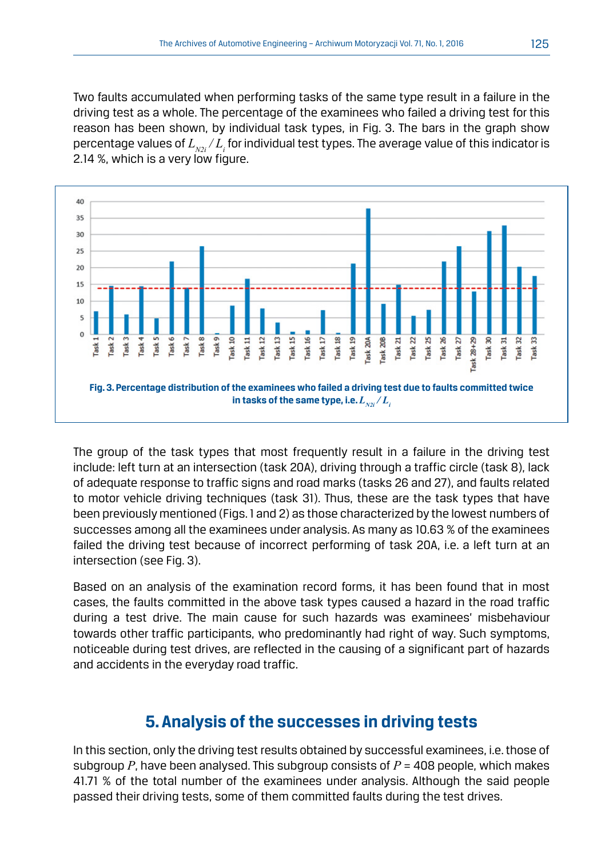Two faults accumulated when performing tasks of the same type result in a failure in the driving test as a whole. The percentage of the examinees who failed a driving test for this reason has been shown, by individual task types, in Fig. 3. The bars in the graph show percentage values of  $L_{_{N2i}}/L_{_i}$  for individual test types. The average value of this indicator is 2.14 %, which is a very low figure.



The group of the task types that most frequently result in a failure in the driving test include: left turn at an intersection (task 20A), driving through a traffic circle (task 8), lack of adequate response to traffic signs and road marks (tasks 26 and 27), and faults related to motor vehicle driving techniques (task 31). Thus, these are the task types that have been previously mentioned (Figs. 1 and 2) as those characterized by the lowest numbers of successes among all the examinees under analysis. As many as 10.63 % of the examinees failed the driving test because of incorrect performing of task 20A, i.e. a left turn at an intersection (see Fig. 3).

Based on an analysis of the examination record forms, it has been found that in most cases, the faults committed in the above task types caused a hazard in the road traffic during a test drive. The main cause for such hazards was examinees' misbehaviour towards other traffic participants, who predominantly had right of way. Such symptoms, noticeable during test drives, are reflected in the causing of a significant part of hazards and accidents in the everyday road traffic.

### **5. Analysis of the successes in driving tests**

In this section, only the driving test results obtained by successful examinees, i.e. those of subgroup *P*, have been analysed. This subgroup consists of *P* = 408 people, which makes 41.71 % of the total number of the examinees under analysis. Although the said people passed their driving tests, some of them committed faults during the test drives.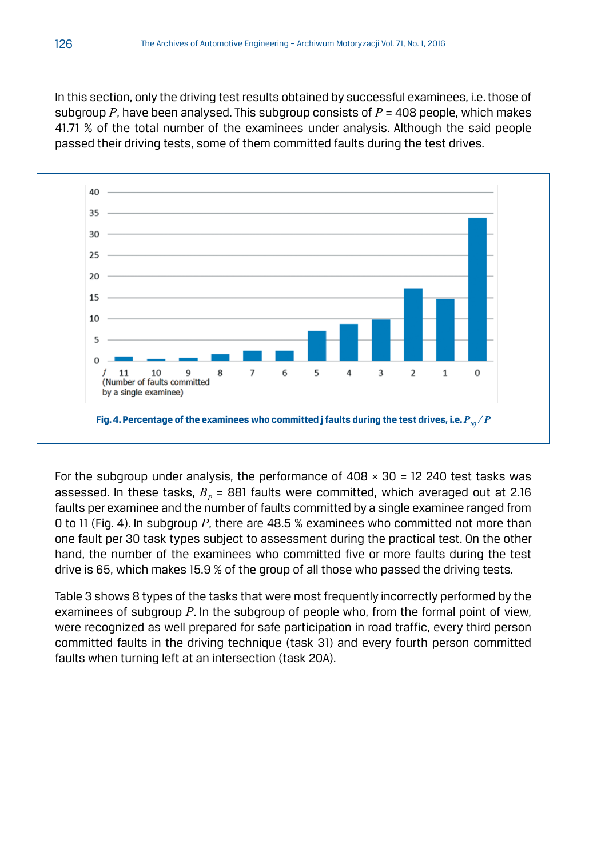In this section, only the driving test results obtained by successful examinees, i.e. those of subgroup *P*, have been analysed. This subgroup consists of *P* = 408 people, which makes 41.71 % of the total number of the examinees under analysis. Although the said people passed their driving tests, some of them committed faults during the test drives.



For the subgroup under analysis, the performance of  $408 \times 30 = 12240$  test tasks was assessed. In these tasks,  $B<sub>n</sub>$  = 881 faults were committed, which averaged out at 2.16 faults per examinee and the number of faults committed by a single examinee ranged from 0 to 11 (Fig. 4). In subgroup *P*, there are 48.5 % examinees who committed not more than one fault per 30 task types subject to assessment during the practical test. On the other hand, the number of the examinees who committed five or more faults during the test drive is 65, which makes 15.9 % of the group of all those who passed the driving tests.

Table 3 shows 8 types of the tasks that were most frequently incorrectly performed by the examinees of subgroup *P*. In the subgroup of people who, from the formal point of view, were recognized as well prepared for safe participation in road traffic, every third person committed faults in the driving technique (task 31) and every fourth person committed faults when turning left at an intersection (task 20A).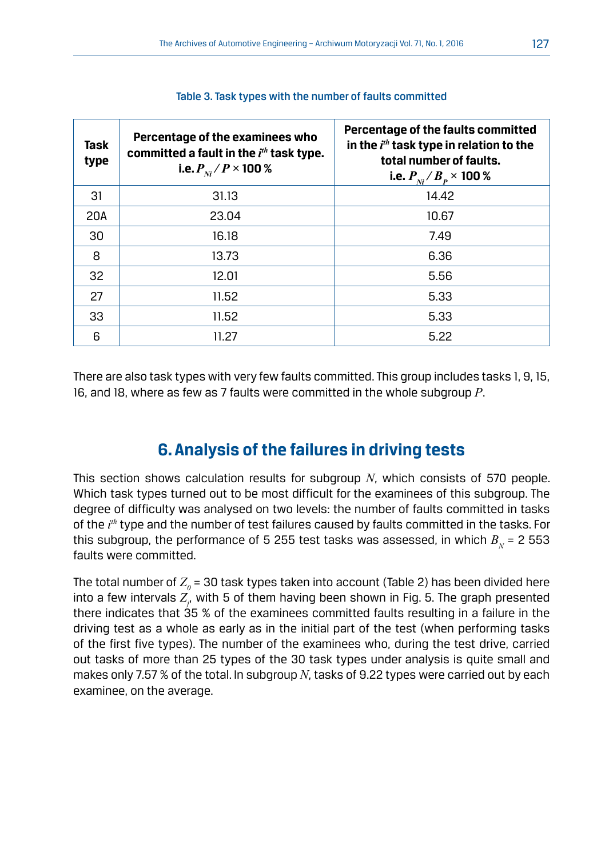| Task<br>type | Percentage of the examinees who<br>committed a fault in the $ith$ task type.<br>i.e. $P_{\rm w}/P \times 100\%$ | Percentage of the faults committed<br>in the $ith$ task type in relation to the<br>total number of faults.<br>i.e. $P_{_{Ni}}/B_{_P} \times 100~\%$ |
|--------------|-----------------------------------------------------------------------------------------------------------------|-----------------------------------------------------------------------------------------------------------------------------------------------------|
| 31           | 31.13                                                                                                           | 14.42                                                                                                                                               |
| 20A          | 23.04                                                                                                           | 10.67                                                                                                                                               |
| 30           | 16.18                                                                                                           | 7.49                                                                                                                                                |
| 8            | 13.73                                                                                                           | 6.36                                                                                                                                                |
| 32           | 12.01                                                                                                           | 5.56                                                                                                                                                |
| 27           | 11.52                                                                                                           | 5.33                                                                                                                                                |
| 33           | 11.52                                                                                                           | 5.33                                                                                                                                                |
| 6            | 11.27                                                                                                           | 5.22                                                                                                                                                |

#### Table 3. Task types with the number of faults committed

There are also task types with very few faults committed. This group includes tasks 1, 9, 15, 16, and 18, where as few as 7 faults were committed in the whole subgroup *P*.

# **6. Analysis of the failures in driving tests**

This section shows calculation results for subgroup *N*, which consists of 570 people. Which task types turned out to be most difficult for the examinees of this subgroup. The degree of difficulty was analysed on two levels: the number of faults committed in tasks of the *i th* type and the number of test failures caused by faults committed in the tasks. For this subgroup, the performance of 5 255 test tasks was assessed, in which  $B<sub>N</sub>$  = 2 553 faults were committed.

The total number of  $Z_{_{\scriptscriptstyle{\theta}}}$  = 30 task types taken into account (Table 2) has been divided here into a few intervals  $Z_{\!\!_{f^{\prime}}}$  with 5 of them having been shown in Fig. 5. The graph presented there indicates that 35 % of the examinees committed faults resulting in a failure in the driving test as a whole as early as in the initial part of the test (when performing tasks of the first five types). The number of the examinees who, during the test drive, carried out tasks of more than 25 types of the 30 task types under analysis is quite small and makes only 7.57 % of the total. In subgroup *N*, tasks of 9.22 types were carried out by each examinee, on the average.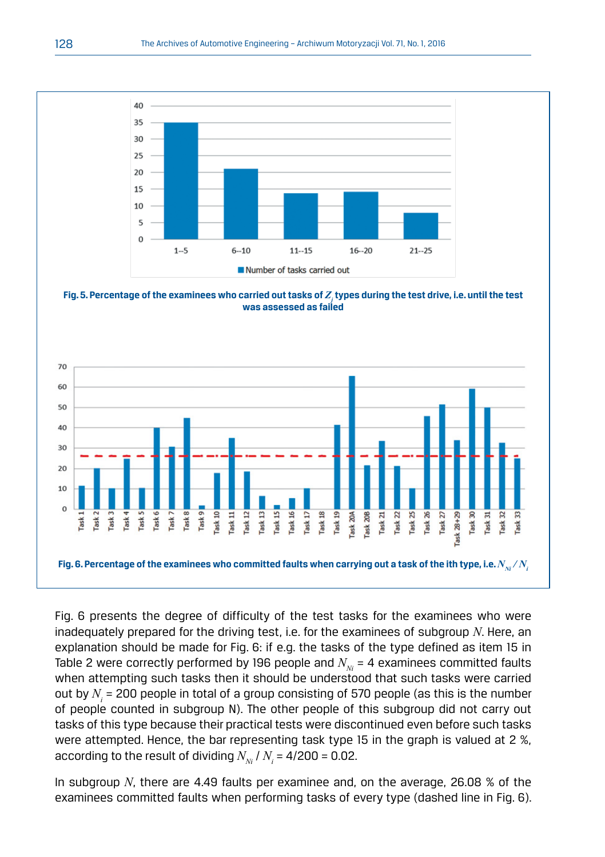

Fig. 5. Percentage of the examinees who carried out tasks of  $Z_j$  types during the test drive, i.e. until the test **was assessed as failed**



Fig. 6 presents the degree of difficulty of the test tasks for the examinees who were inadequately prepared for the driving test, i.e. for the examinees of subgroup *N*. Here, an explanation should be made for Fig. 6: if e.g. the tasks of the type defined as item 15 in Table 2 were correctly performed by 196 people and  $N_{N}$  = 4 examinees committed faults when attempting such tasks then it should be understood that such tasks were carried out by  $N_{\scriptscriptstyle \hat{i}}$  = 200 people in total of a group consisting of 570 people (as this is the number of people counted in subgroup N). The other people of this subgroup did not carry out tasks of this type because their practical tests were discontinued even before such tasks were attempted. Hence, the bar representing task type 15 in the graph is valued at 2 %, according to the result of dividing  $N_{_{Ni}}$  /  $N_{_i}$  = 4/200 = 0.02.

In subgroup *N*, there are 4.49 faults per examinee and, on the average, 26.08 % of the examinees committed faults when performing tasks of every type (dashed line in Fig. 6).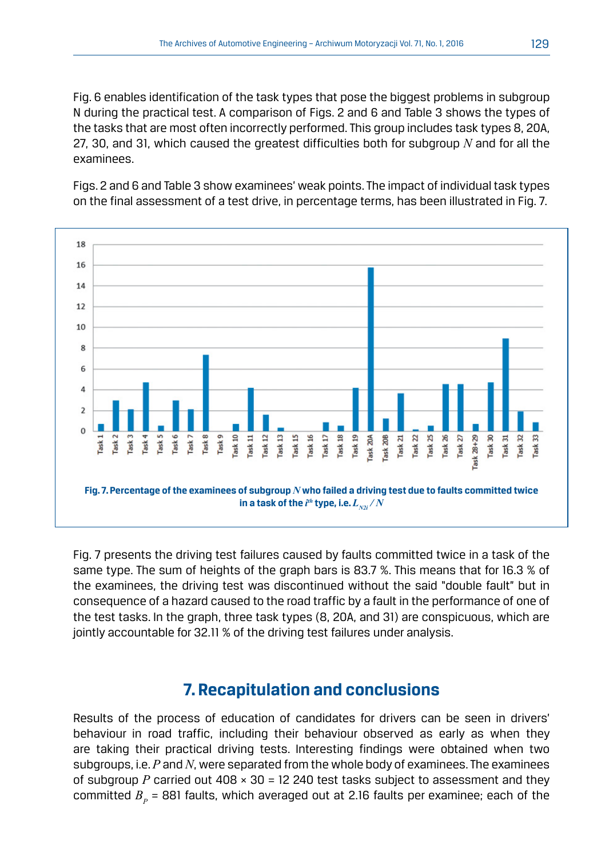Fig. 6 enables identification of the task types that pose the biggest problems in subgroup N during the practical test. A comparison of Figs. 2 and 6 and Table 3 shows the types of the tasks that are most often incorrectly performed. This group includes task types 8, 20A, 27, 30, and 31, which caused the greatest difficulties both for subgroup *N* and for all the examinees.

Figs. 2 and 6 and Table 3 show examinees' weak points. The impact of individual task types on the final assessment of a test drive, in percentage terms, has been illustrated in Fig. 7.



Fig. 7 presents the driving test failures caused by faults committed twice in a task of the same type. The sum of heights of the graph bars is 83.7 %. This means that for 16.3 % of the examinees, the driving test was discontinued without the said "double fault" but in consequence of a hazard caused to the road traffic by a fault in the performance of one of the test tasks. In the graph, three task types (8, 20A, and 31) are conspicuous, which are jointly accountable for 32.11 % of the driving test failures under analysis.

### **7. Recapitulation and conclusions**

Results of the process of education of candidates for drivers can be seen in drivers' behaviour in road traffic, including their behaviour observed as early as when they are taking their practical driving tests. Interesting findings were obtained when two subgroups, i.e. *P* and *N*, were separated from the whole body of examinees. The examinees of subgroup *P* carried out  $408 \times 30 = 12240$  test tasks subject to assessment and they committed  $B_p$  = 881 faults, which averaged out at 2.16 faults per examinee; each of the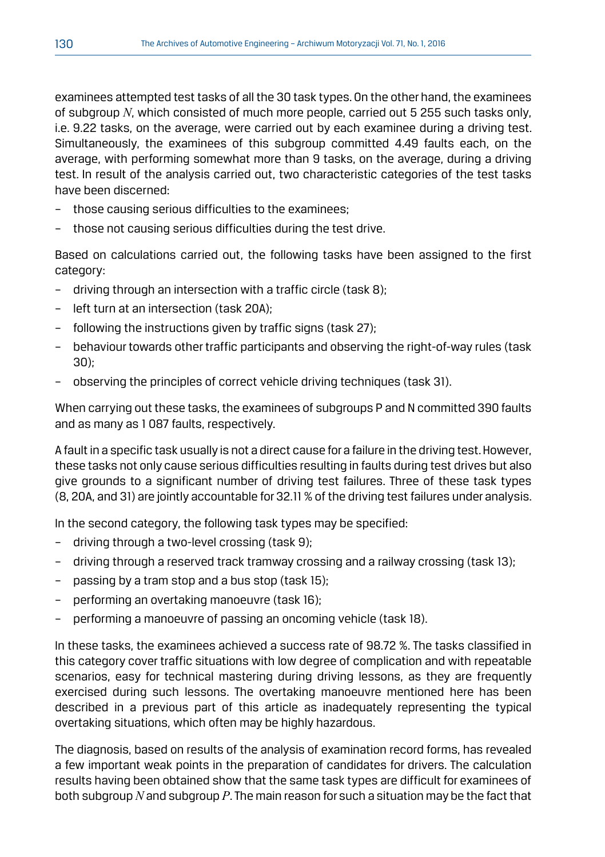examinees attempted test tasks of all the 30 task types. On the other hand, the examinees of subgroup *N*, which consisted of much more people, carried out 5 255 such tasks only, i.e. 9.22 tasks, on the average, were carried out by each examinee during a driving test. Simultaneously, the examinees of this subgroup committed 4.49 faults each, on the average, with performing somewhat more than 9 tasks, on the average, during a driving test. In result of the analysis carried out, two characteristic categories of the test tasks have been discerned:

- those causing serious difficulties to the examinees:
- those not causing serious difficulties during the test drive.

Based on calculations carried out, the following tasks have been assigned to the first category:

- driving through an intersection with a traffic circle (task 8);
- left turn at an intersection (task 20A);
- following the instructions given by traffic signs (task 27);
- behaviour towards other traffic participants and observing the right-of-way rules (task 30);
- observing the principles of correct vehicle driving techniques (task 31).

When carrying out these tasks, the examinees of subgroups P and N committed 390 faults and as many as 1 087 faults, respectively.

A fault in a specific task usually is not a direct cause for a failure in the driving test. However, these tasks not only cause serious difficulties resulting in faults during test drives but also give grounds to a significant number of driving test failures. Three of these task types (8, 20A, and 31) are jointly accountable for 32.11 % of the driving test failures under analysis.

In the second category, the following task types may be specified:

- driving through a two-level crossing (task 9);
- driving through a reserved track tramway crossing and a railway crossing (task 13);
- passing by a tram stop and a bus stop (task 15);
- performing an overtaking manoeuvre (task 16);
- performing a manoeuvre of passing an oncoming vehicle (task 18).

In these tasks, the examinees achieved a success rate of 98.72 %. The tasks classified in this category cover traffic situations with low degree of complication and with repeatable scenarios, easy for technical mastering during driving lessons, as they are frequently exercised during such lessons. The overtaking manoeuvre mentioned here has been described in a previous part of this article as inadequately representing the typical overtaking situations, which often may be highly hazardous.

The diagnosis, based on results of the analysis of examination record forms, has revealed a few important weak points in the preparation of candidates for drivers. The calculation results having been obtained show that the same task types are difficult for examinees of both subgroup *N* and subgroup *P*. The main reason for such a situation may be the fact that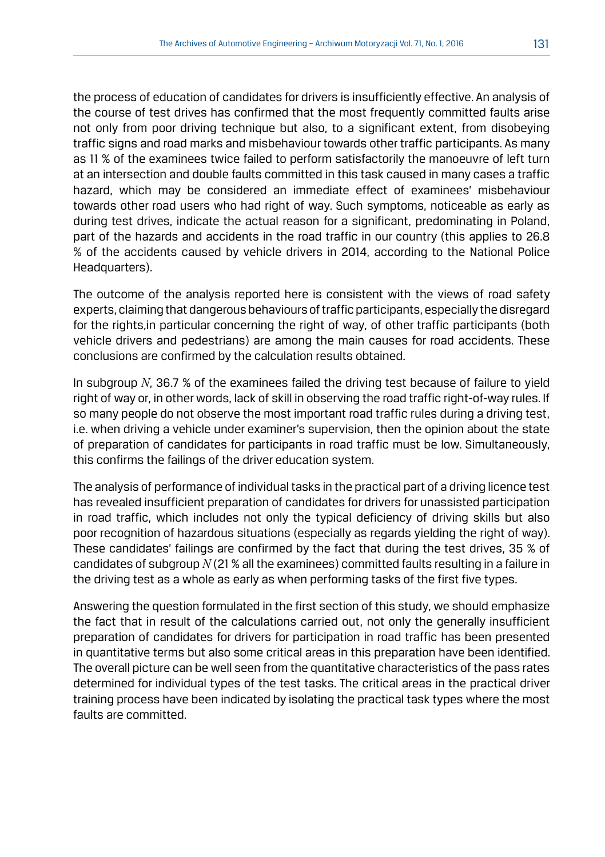the process of education of candidates for drivers is insufficiently effective. An analysis of the course of test drives has confirmed that the most frequently committed faults arise not only from poor driving technique but also, to a significant extent, from disobeying traffic signs and road marks and misbehaviour towards other traffic participants. As many as 11 % of the examinees twice failed to perform satisfactorily the manoeuvre of left turn at an intersection and double faults committed in this task caused in many cases a traffic hazard, which may be considered an immediate effect of examinees' misbehaviour towards other road users who had right of way. Such symptoms, noticeable as early as during test drives, indicate the actual reason for a significant, predominating in Poland, part of the hazards and accidents in the road traffic in our country (this applies to 26.8 % of the accidents caused by vehicle drivers in 2014, according to the National Police Headquarters).

The outcome of the analysis reported here is consistent with the views of road safety experts, claiming that dangerous behaviours of traffic participants, especially the disregard for the rights,in particular concerning the right of way, of other traffic participants (both vehicle drivers and pedestrians) are among the main causes for road accidents. These conclusions are confirmed by the calculation results obtained.

In subgroup *N*, 36.7 % of the examinees failed the driving test because of failure to yield right of way or, in other words, lack of skill in observing the road traffic right-of-way rules. If so many people do not observe the most important road traffic rules during a driving test, i.e. when driving a vehicle under examiner's supervision, then the opinion about the state of preparation of candidates for participants in road traffic must be low. Simultaneously, this confirms the failings of the driver education system.

The analysis of performance of individual tasks in the practical part of a driving licence test has revealed insufficient preparation of candidates for drivers for unassisted participation in road traffic, which includes not only the typical deficiency of driving skills but also poor recognition of hazardous situations (especially as regards yielding the right of way). These candidates' failings are confirmed by the fact that during the test drives, 35 % of candidates of subgroup *N* (21 % all the examinees) committed faults resulting in a failure in the driving test as a whole as early as when performing tasks of the first five types.

Answering the question formulated in the first section of this study, we should emphasize the fact that in result of the calculations carried out, not only the generally insufficient preparation of candidates for drivers for participation in road traffic has been presented in quantitative terms but also some critical areas in this preparation have been identified. The overall picture can be well seen from the quantitative characteristics of the pass rates determined for individual types of the test tasks. The critical areas in the practical driver training process have been indicated by isolating the practical task types where the most faults are committed.